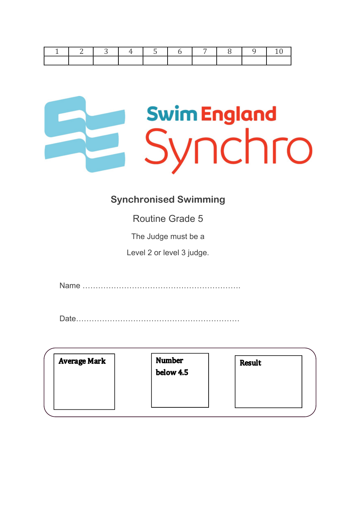

#### **Synchronised Swimming**

Routine Grade 5

The Judge must be a

Level 2 or level 3 judge.

Name …………………………………………………….

Date………………………………………………………

| <b>Average Mark</b> | <b>Number</b><br>below 4.5 | <b>Result</b> |
|---------------------|----------------------------|---------------|
|                     |                            |               |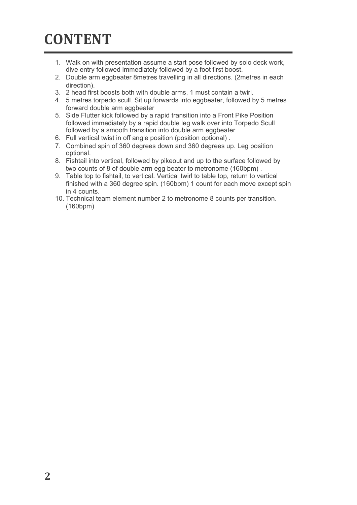# **CONTENT**

- 1. Walk on with presentation assume a start pose followed by solo deck work, dive entry followed immediately followed by a foot first boost.
- 2. Double arm eggbeater 8metres travelling in all directions. (2metres in each direction).
- 3. 2 head first boosts both with double arms, 1 must contain a twirl.
- 4. 5 metres torpedo scull. Sit up forwards into eggbeater, followed by 5 metres forward double arm eggbeater
- 5. Side Flutter kick followed by a rapid transition into a Front Pike Position followed immediately by a rapid double leg walk over into Torpedo Scull followed by a smooth transition into double arm eggbeater
- 6. Full vertical twist in off angle position (position optional) .
- 7. Combined spin of 360 degrees down and 360 degrees up. Leg position optional.
- 8. Fishtail into vertical, followed by pikeout and up to the surface followed by two counts of 8 of double arm egg beater to metronome (160bpm) .
- 9. Table top to fishtail, to vertical. Vertical twirl to table top, return to vertical finished with a 360 degree spin. (160bpm) 1 count for each move except spin in 4 counts.
- 10. Technical team element number 2 to metronome 8 counts per transition. (160bpm)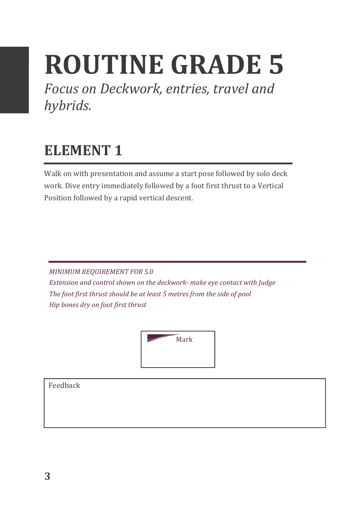# **ROUTINE GRADE 5**

Focus on Deckwork, entries, travel and *hybrids.*

#### **ELEMENT 1**

Walk on with presentation and assume a start pose followed by solo deck work. Dive entry immediately followed by a foot first thrust to a Vertical Position followed by a rapid vertical descent.

**MINIMUM REQUIREMENT FOR 5.0** *Extension and control shown on the deckwork- make eye contact with Judge* The foot first thrust should be at least 5 metres from the side of pool *Hip bones dry on foot first thrust*

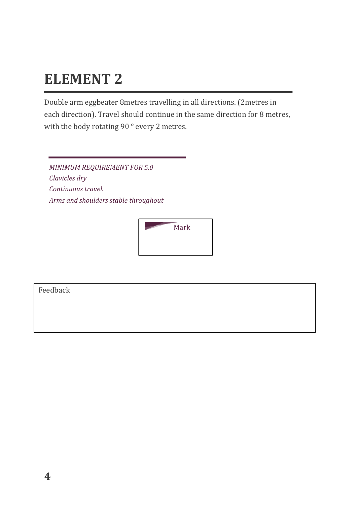Double arm eggbeater 8metres travelling in all directions. (2metres in each direction). Travel should continue in the same direction for 8 metres, with the body rotating 90  $^{\circ}$  every 2 metres.

**MINIMUM REQUIREMENT FOR 5.0** *Clavicles dry Continuous travel.* Arms and shoulders stable throughout

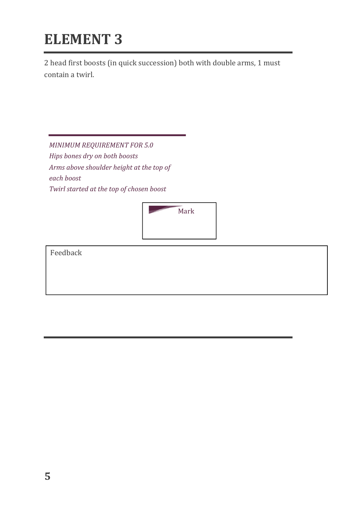2 head first boosts (in quick succession) both with double arms, 1 must contain a twirl.

**MINIMUM REQUIREMENT FOR 5.0** *Hips bones dry on both boosts Arms above shoulder height at the top of each boost Twirl started at the top of chosen boost* 

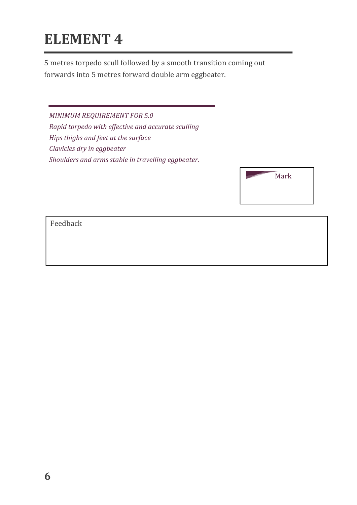5 metres torpedo scull followed by a smooth transition coming out forwards into 5 metres forward double arm eggbeater.

*MINIMUM REQUIREMENT FOR 5.0 Rapid torpedo with effective and accurate sculling Hips* thighs and feet at the surface *Clavicles dry in eggbeater* Shoulders and arms stable in travelling eggbeater.

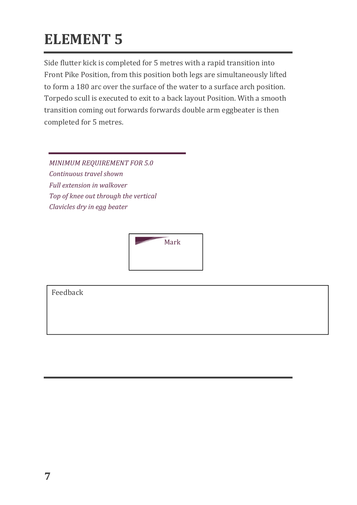Side flutter kick is completed for 5 metres with a rapid transition into Front Pike Position, from this position both legs are simultaneously lifted to form a 180 arc over the surface of the water to a surface arch position. Torpedo scull is executed to exit to a back layout Position. With a smooth transition coming out forwards forwards double arm eggbeater is then completed for 5 metres.

**MINIMUM REQUIREMENT FOR 5.0** *Continuous travel shown Full extension in walkover Top* of knee out through the vertical *Clavicles dry in egg beater* 

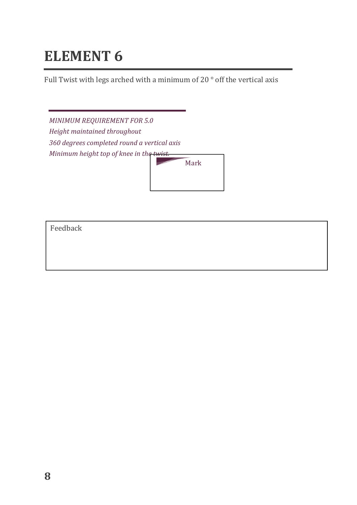Full Twist with legs arched with a minimum of 20  $^{\circ}$  off the vertical axis

*MINIMUM REQUIREMENT FOR 5.0* **Height maintained throughout** *360 degrees completed round a vertical axis Minimum height top of knee in the twist.* 

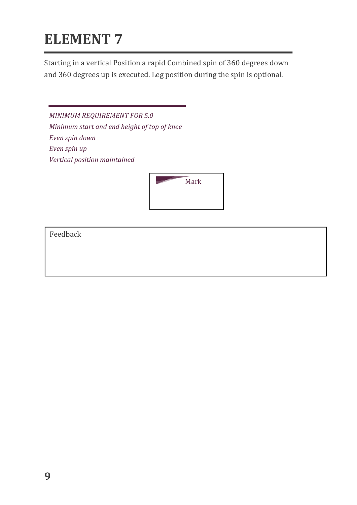Starting in a vertical Position a rapid Combined spin of 360 degrees down and 360 degrees up is executed. Leg position during the spin is optional.

*MINIMUM REQUIREMENT FOR 5.0 Minimum start and end height of top of knee Even spin down Even spin up Vertical position maintained*

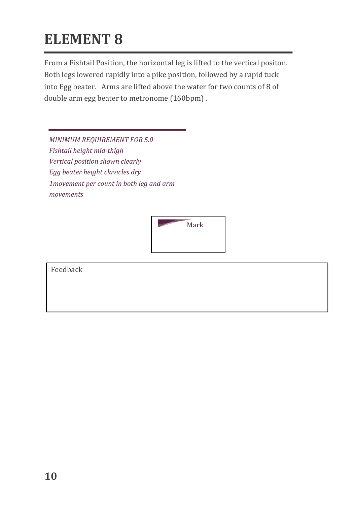From a Fishtail Position, the horizontal leg is lifted to the vertical positon. Both legs lowered rapidly into a pike position, followed by a rapid tuck into Egg beater. Arms are lifted above the water for two counts of  $8$  of double arm egg beater to metronome (160bpm).

**MINIMUM REQUIREMENT FOR 5.0** *Fishtail height mid-thigh* **Vertical position shown clearly** *Egg* beater height clavicles dry *1movement per count in both leg and arm movements*

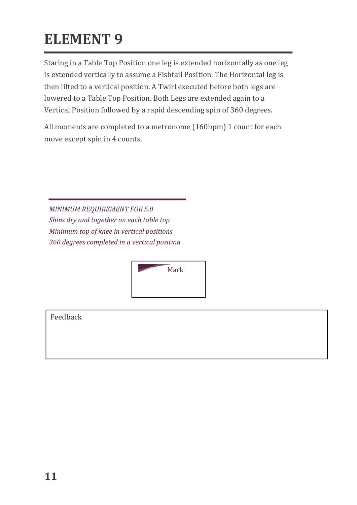Staring in a Table Top Position one leg is extended horizontally as one leg is extended vertically to assume a Fishtail Position. The Horizontal leg is then lifted to a vertical position. A Twirl executed before both legs are lowered to a Table Top Position. Both Legs are extended again to a Vertical Position followed by a rapid descending spin of 360 degrees.

All moments are completed to a metronome (160bpm) 1 count for each move except spin in 4 counts.

**MINIMUM REQUIREMENT FOR 5.0** *Shins dry and together on each table top Minimum top of knee in vertical positions 360 degrees completed in a vertical position*